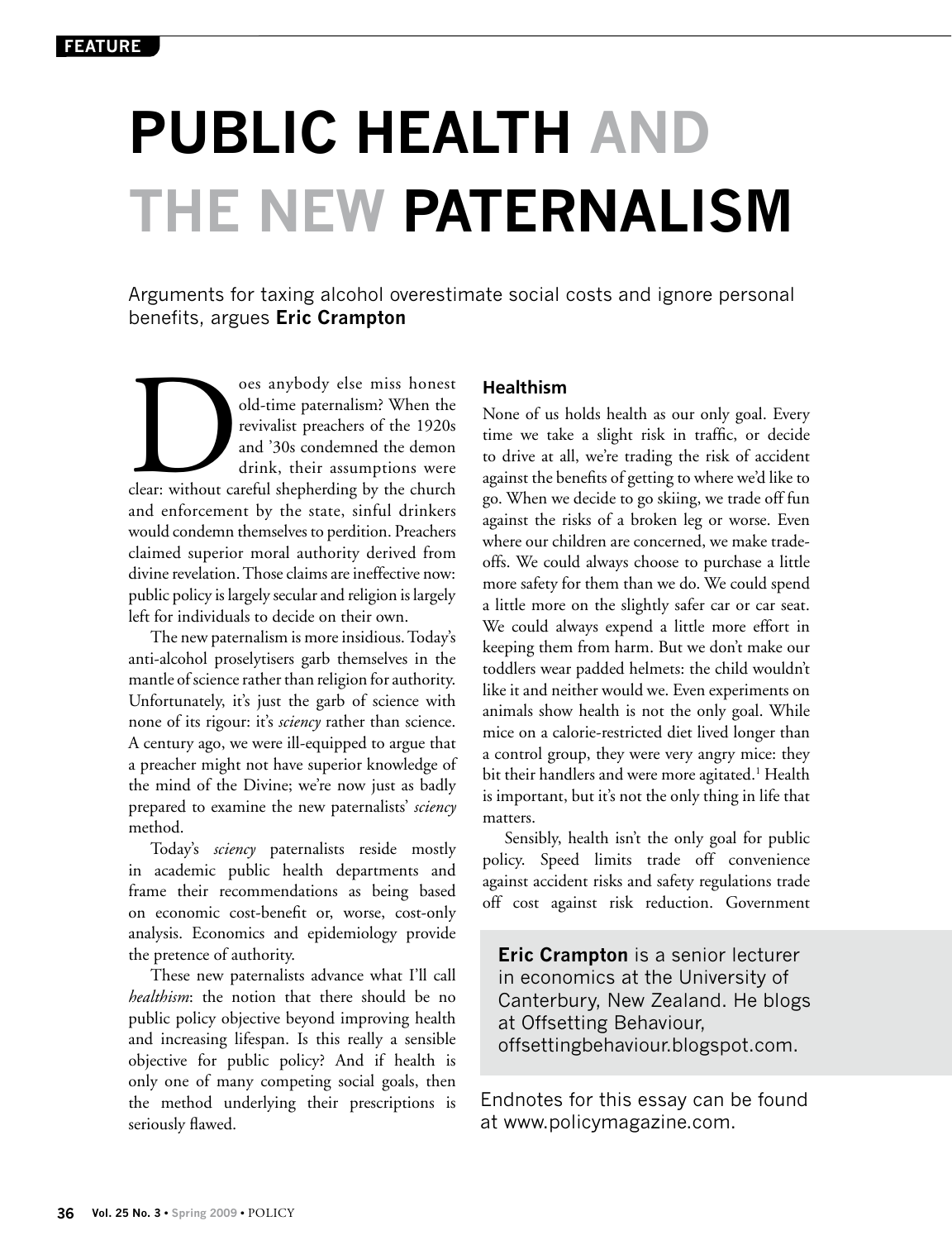# **Public Health and the New Paternalism**

Arguments for taxing alcohol overestimate social costs and ignore personal benefits, argues **Eric Crampton**

oes anybody else miss honest<br>
old-time paternalism? When the<br>
revivalist preachers of the 1920s<br>
and '30s condemned the demon<br>
drink, their assumptions were<br>
clear: without careful shepherding by the church old-time paternalism? When the revivalist preachers of the 1920s and '30s condemned the demon drink, their assumptions were and enforcement by the state, sinful drinkers would condemn themselves to perdition. Preachers claimed superior moral authority derived from divine revelation. Those claims are ineffective now: public policy is largely secular and religion is largely left for individuals to decide on their own.

The new paternalism is more insidious. Today's anti-alcohol proselytisers garb themselves in the mantle of science rather than religion for authority. Unfortunately, it's just the garb of science with none of its rigour: it's *sciency* rather than science. A century ago, we were ill-equipped to argue that a preacher might not have superior knowledge of the mind of the Divine; we're now just as badly prepared to examine the new paternalists' *sciency* method.

Today's *sciency* paternalists reside mostly in academic public health departments and frame their recommendations as being based on economic cost-benefit or, worse, cost-only analysis. Economics and epidemiology provide the pretence of authority.

These new paternalists advance what I'll call *healthism*: the notion that there should be no public policy objective beyond improving health and increasing lifespan. Is this really a sensible objective for public policy? And if health is only one of many competing social goals, then the method underlying their prescriptions is seriously flawed.

## **Healthism**

None of us holds health as our only goal. Every time we take a slight risk in traffic, or decide to drive at all, we're trading the risk of accident against the benefits of getting to where we'd like to go. When we decide to go skiing, we trade off fun against the risks of a broken leg or worse. Even where our children are concerned, we make tradeoffs. We could always choose to purchase a little more safety for them than we do. We could spend a little more on the slightly safer car or car seat. We could always expend a little more effort in keeping them from harm. But we don't make our toddlers wear padded helmets: the child wouldn't like it and neither would we. Even experiments on animals show health is not the only goal. While mice on a calorie-restricted diet lived longer than a control group, they were very angry mice: they bit their handlers and were more agitated.<sup>1</sup> Health is important, but it's not the only thing in life that matters.

Sensibly, health isn't the only goal for public policy. Speed limits trade off convenience against accident risks and safety regulations trade off cost against risk reduction. Government

**Eric Crampton** is a senior lecturer in economics at the University of Canterbury, New Zealand. He blogs at Offsetting Behaviour, offsettingbehaviour.blogspot.com.

Endnotes for this essay can be found at www.policymagazine.com.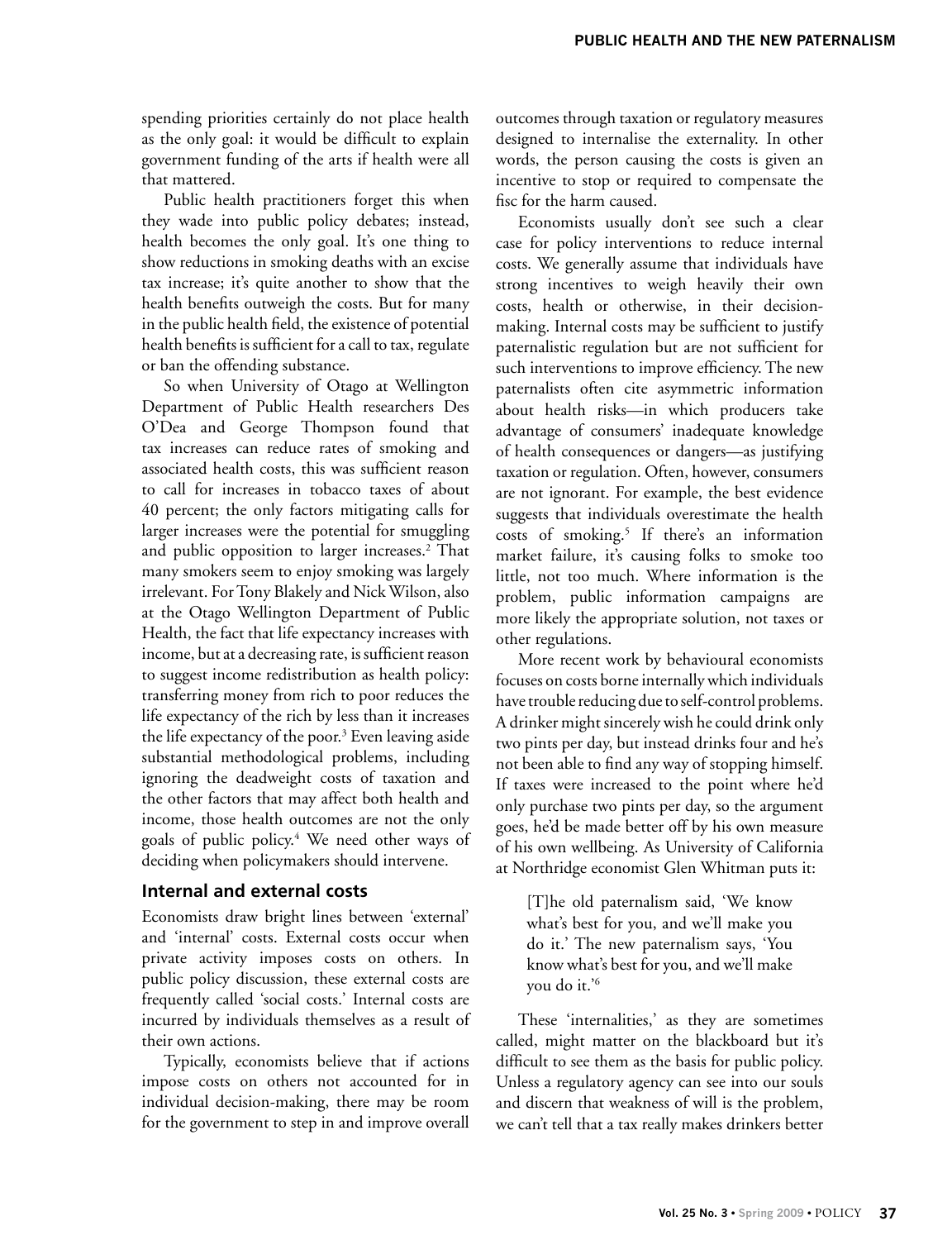spending priorities certainly do not place health as the only goal: it would be difficult to explain government funding of the arts if health were all that mattered.

Public health practitioners forget this when they wade into public policy debates; instead, health becomes the only goal. It's one thing to show reductions in smoking deaths with an excise tax increase; it's quite another to show that the health benefits outweigh the costs. But for many in the public health field, the existence of potential health benefits is sufficient for a call to tax, regulate or ban the offending substance.

So when University of Otago at Wellington Department of Public Health researchers Des O'Dea and George Thompson found that tax increases can reduce rates of smoking and associated health costs, this was sufficient reason to call for increases in tobacco taxes of about 40 percent; the only factors mitigating calls for larger increases were the potential for smuggling and public opposition to larger increases.<sup>2</sup> That many smokers seem to enjoy smoking was largely irrelevant. For Tony Blakely and Nick Wilson, also at the Otago Wellington Department of Public Health, the fact that life expectancy increases with income, but at a decreasing rate, is sufficient reason to suggest income redistribution as health policy: transferring money from rich to poor reduces the life expectancy of the rich by less than it increases the life expectancy of the poor.<sup>3</sup> Even leaving aside substantial methodological problems, including ignoring the deadweight costs of taxation and the other factors that may affect both health and income, those health outcomes are not the only goals of public policy.4 We need other ways of deciding when policymakers should intervene.

#### **Internal and external costs**

Economists draw bright lines between 'external' and 'internal' costs. External costs occur when private activity imposes costs on others. In public policy discussion, these external costs are frequently called 'social costs.' Internal costs are incurred by individuals themselves as a result of their own actions.

Typically, economists believe that if actions impose costs on others not accounted for in individual decision-making, there may be room for the government to step in and improve overall

outcomes through taxation or regulatory measures designed to internalise the externality. In other words, the person causing the costs is given an incentive to stop or required to compensate the fisc for the harm caused.

Economists usually don't see such a clear case for policy interventions to reduce internal costs. We generally assume that individuals have strong incentives to weigh heavily their own costs, health or otherwise, in their decisionmaking. Internal costs may be sufficient to justify paternalistic regulation but are not sufficient for such interventions to improve efficiency. The new paternalists often cite asymmetric information about health risks—in which producers take advantage of consumers' inadequate knowledge of health consequences or dangers—as justifying taxation or regulation. Often, however, consumers are not ignorant. For example, the best evidence suggests that individuals overestimate the health costs of smoking.<sup>5</sup> If there's an information market failure, it's causing folks to smoke too little, not too much. Where information is the problem, public information campaigns are more likely the appropriate solution, not taxes or other regulations.

More recent work by behavioural economists focuses on costs borne internally which individuals have trouble reducing due to self-control problems. A drinker might sincerely wish he could drink only two pints per day, but instead drinks four and he's not been able to find any way of stopping himself. If taxes were increased to the point where he'd only purchase two pints per day, so the argument goes, he'd be made better off by his own measure of his own wellbeing. As University of California at Northridge economist Glen Whitman puts it:

[T]he old paternalism said, 'We know what's best for you, and we'll make you do it.' The new paternalism says, 'You know what's best for you, and we'll make you do it.'6

These 'internalities,' as they are sometimes called, might matter on the blackboard but it's difficult to see them as the basis for public policy. Unless a regulatory agency can see into our souls and discern that weakness of will is the problem, we can't tell that a tax really makes drinkers better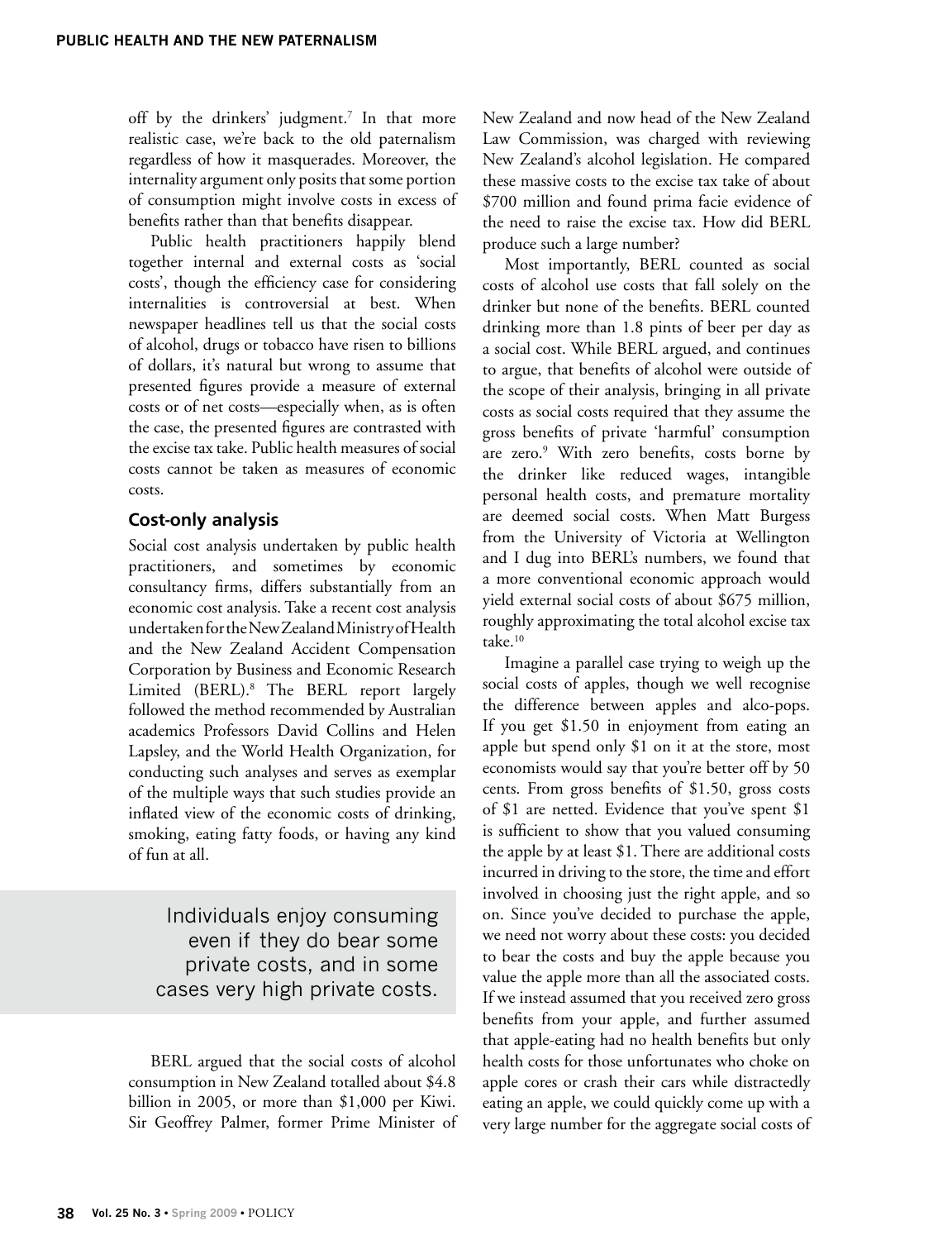off by the drinkers' judgment.7 In that more realistic case, we're back to the old paternalism regardless of how it masquerades. Moreover, the internality argument only posits that some portion of consumption might involve costs in excess of benefits rather than that benefits disappear.

Public health practitioners happily blend together internal and external costs as 'social costs', though the efficiency case for considering internalities is controversial at best. When newspaper headlines tell us that the social costs of alcohol, drugs or tobacco have risen to billions of dollars, it's natural but wrong to assume that presented figures provide a measure of external costs or of net costs—especially when, as is often the case, the presented figures are contrasted with the excise tax take. Public health measures of social costs cannot be taken as measures of economic costs.

#### **Cost-only analysis**

Social cost analysis undertaken by public health practitioners, and sometimes by economic consultancy firms, differs substantially from an economic cost analysis. Take a recent cost analysis undertaken for the New Zealand Ministry of Health and the New Zealand Accident Compensation Corporation by Business and Economic Research Limited (BERL).8 The BERL report largely followed the method recommended by Australian academics Professors David Collins and Helen Lapsley, and the World Health Organization, for conducting such analyses and serves as exemplar of the multiple ways that such studies provide an inflated view of the economic costs of drinking, smoking, eating fatty foods, or having any kind of fun at all.

Individuals enjoy consuming even if they do bear some private costs, and in some cases very high private costs.

BERL argued that the social costs of alcohol consumption in New Zealand totalled about \$4.8 billion in 2005, or more than \$1,000 per Kiwi. Sir Geoffrey Palmer, former Prime Minister of New Zealand and now head of the New Zealand Law Commission, was charged with reviewing New Zealand's alcohol legislation. He compared these massive costs to the excise tax take of about \$700 million and found prima facie evidence of the need to raise the excise tax. How did BERL produce such a large number?

Most importantly, BERL counted as social costs of alcohol use costs that fall solely on the drinker but none of the benefits. BERL counted drinking more than 1.8 pints of beer per day as a social cost. While BERL argued, and continues to argue, that benefits of alcohol were outside of the scope of their analysis, bringing in all private costs as social costs required that they assume the gross benefits of private 'harmful' consumption are zero.<sup>9</sup> With zero benefits, costs borne by the drinker like reduced wages, intangible personal health costs, and premature mortality are deemed social costs. When Matt Burgess from the University of Victoria at Wellington and I dug into BERL's numbers, we found that a more conventional economic approach would yield external social costs of about \$675 million, roughly approximating the total alcohol excise tax take.<sup>10</sup>

Imagine a parallel case trying to weigh up the social costs of apples, though we well recognise the difference between apples and alco-pops. If you get \$1.50 in enjoyment from eating an apple but spend only \$1 on it at the store, most economists would say that you're better off by 50 cents. From gross benefits of \$1.50, gross costs of \$1 are netted. Evidence that you've spent \$1 is sufficient to show that you valued consuming the apple by at least \$1. There are additional costs incurred in driving to the store, the time and effort involved in choosing just the right apple, and so on. Since you've decided to purchase the apple, we need not worry about these costs: you decided to bear the costs and buy the apple because you value the apple more than all the associated costs. If we instead assumed that you received zero gross benefits from your apple, and further assumed that apple-eating had no health benefits but only health costs for those unfortunates who choke on apple cores or crash their cars while distractedly eating an apple, we could quickly come up with a very large number for the aggregate social costs of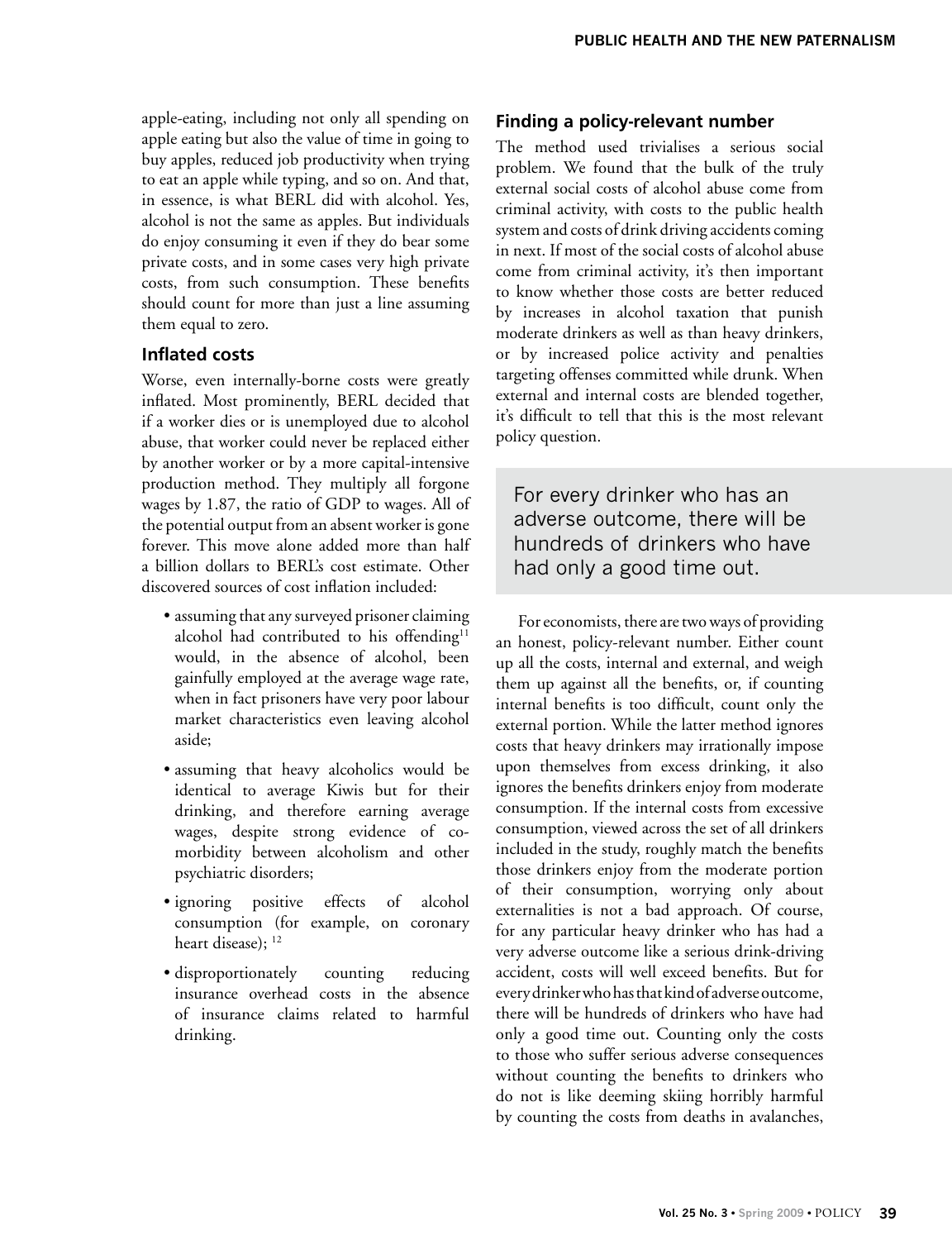apple-eating, including not only all spending on apple eating but also the value of time in going to buy apples, reduced job productivity when trying to eat an apple while typing, and so on. And that, in essence, is what BERL did with alcohol. Yes, alcohol is not the same as apples. But individuals do enjoy consuming it even if they do bear some private costs, and in some cases very high private costs, from such consumption. These benefits should count for more than just a line assuming them equal to zero.

#### **Inflated costs**

Worse, even internally-borne costs were greatly inflated. Most prominently, BERL decided that if a worker dies or is unemployed due to alcohol abuse, that worker could never be replaced either by another worker or by a more capital-intensive production method. They multiply all forgone wages by 1.87, the ratio of GDP to wages. All of the potential output from an absent worker is gone forever. This move alone added more than half a billion dollars to BERL's cost estimate. Other discovered sources of cost inflation included:

- assuming that any surveyed prisoner claiming alcohol had contributed to his offending<sup>11</sup> would, in the absence of alcohol, been gainfully employed at the average wage rate, when in fact prisoners have very poor labour market characteristics even leaving alcohol aside;
- assuming that heavy alcoholics would be identical to average Kiwis but for their drinking, and therefore earning average wages, despite strong evidence of comorbidity between alcoholism and other psychiatric disorders;
- ignoring positive effects of alcohol consumption (for example, on coronary heart disease); <sup>12</sup>
- disproportionately counting reducing insurance overhead costs in the absence of insurance claims related to harmful drinking.

### **Finding a policy-relevant number**

The method used trivialises a serious social problem. We found that the bulk of the truly external social costs of alcohol abuse come from criminal activity, with costs to the public health system and costs of drink driving accidents coming in next. If most of the social costs of alcohol abuse come from criminal activity, it's then important to know whether those costs are better reduced by increases in alcohol taxation that punish moderate drinkers as well as than heavy drinkers, or by increased police activity and penalties targeting offenses committed while drunk. When external and internal costs are blended together, it's difficult to tell that this is the most relevant policy question.

For every drinker who has an adverse outcome, there will be hundreds of drinkers who have had only a good time out.

For economists, there are two ways of providing an honest, policy-relevant number. Either count up all the costs, internal and external, and weigh them up against all the benefits, or, if counting internal benefits is too difficult, count only the external portion. While the latter method ignores costs that heavy drinkers may irrationally impose upon themselves from excess drinking, it also ignores the benefits drinkers enjoy from moderate consumption. If the internal costs from excessive consumption, viewed across the set of all drinkers included in the study, roughly match the benefits those drinkers enjoy from the moderate portion of their consumption, worrying only about externalities is not a bad approach. Of course, for any particular heavy drinker who has had a very adverse outcome like a serious drink-driving accident, costs will well exceed benefits. But for every drinker who has that kind of adverse outcome, there will be hundreds of drinkers who have had only a good time out. Counting only the costs to those who suffer serious adverse consequences without counting the benefits to drinkers who do not is like deeming skiing horribly harmful by counting the costs from deaths in avalanches,